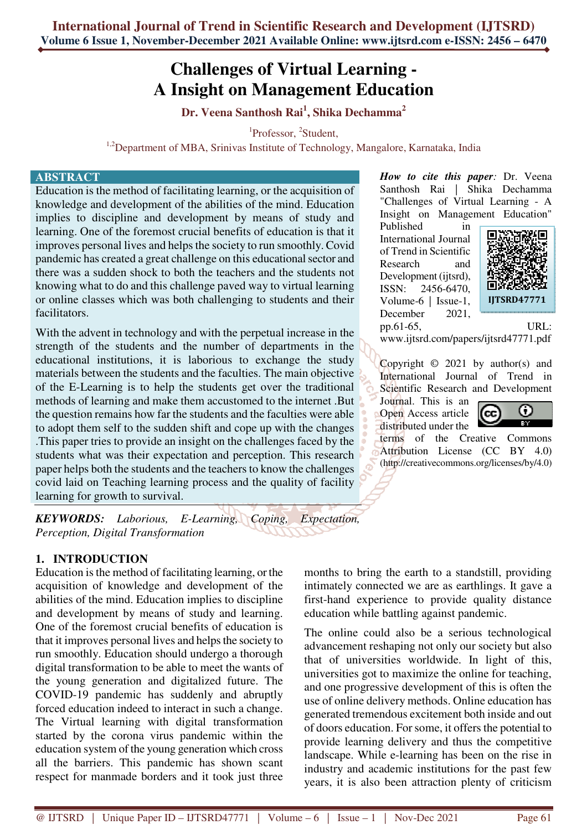# **Challenges of Virtual Learning - A Insight on Management Education**

**Dr. Veena Santhosh Rai<sup>1</sup> , Shika Dechamma<sup>2</sup>**

<sup>1</sup>Professor, <sup>2</sup>Student,

<sup>1,2</sup>Department of MBA, Srinivas Institute of Technology, Mangalore, Karnataka, India

#### **ABSTRACT**

Education is the method of facilitating learning, or the acquisition of knowledge and development of the abilities of the mind. Education implies to discipline and development by means of study and learning. One of the foremost crucial benefits of education is that it improves personal lives and helps the society to run smoothly. Covid pandemic has created a great challenge on this educational sector and there was a sudden shock to both the teachers and the students not knowing what to do and this challenge paved way to virtual learning or online classes which was both challenging to students and their facilitators.

With the advent in technology and with the perpetual increase in the strength of the students and the number of departments in the educational institutions, it is laborious to exchange the study materials between the students and the faculties. The main objective of the E-Learning is to help the students get over the traditional methods of learning and make them accustomed to the internet .But the question remains how far the students and the faculties were able to adopt them self to the sudden shift and cope up with the changes .This paper tries to provide an insight on the challenges faced by the students what was their expectation and perception. This research paper helps both the students and the teachers to know the challenges covid laid on Teaching learning process and the quality of facility learning for growth to survival.

*KEYWORDS: Laborious, E-Learning, Coping, Expectation, Perception, Digital Transformation* 

#### **1. INTRODUCTION**

Education is the method of facilitating learning, or the acquisition of knowledge and development of the abilities of the mind. Education implies to discipline and development by means of study and learning. One of the foremost crucial benefits of education is that it improves personal lives and helps the society to run smoothly. Education should undergo a thorough digital transformation to be able to meet the wants of the young generation and digitalized future. The COVID-19 pandemic has suddenly and abruptly forced education indeed to interact in such a change. The Virtual learning with digital transformation started by the corona virus pandemic within the education system of the young generation which cross all the barriers. This pandemic has shown scant respect for manmade borders and it took just three

*How to cite this paper:* Dr. Veena Santhosh Rai | Shika Dechamma "Challenges of Virtual Learning - A Insight on Management Education"

Published in International Journal of Trend in Scientific Research and Development (ijtsrd), ISSN: 2456-6470, Volume-6 | Issue-1, December 2021. pp.61-65, URL:



www.ijtsrd.com/papers/ijtsrd47771.pdf

Copyright  $\odot$  2021 by author(s) and International Journal of Trend in Scientific Research and Development

Journal. This is an Open Access article distributed under the



terms of the Creative Commons Attribution License (CC BY 4.0) (http://creativecommons.org/licenses/by/4.0)

months to bring the earth to a standstill, providing intimately connected we are as earthlings. It gave a first-hand experience to provide quality distance education while battling against pandemic.

The online could also be a serious technological advancement reshaping not only our society but also that of universities worldwide. In light of this, universities got to maximize the online for teaching, and one progressive development of this is often the use of online delivery methods. Online education has generated tremendous excitement both inside and out of doors education. For some, it offers the potential to provide learning delivery and thus the competitive landscape. While e-learning has been on the rise in industry and academic institutions for the past few years, it is also been attraction plenty of criticism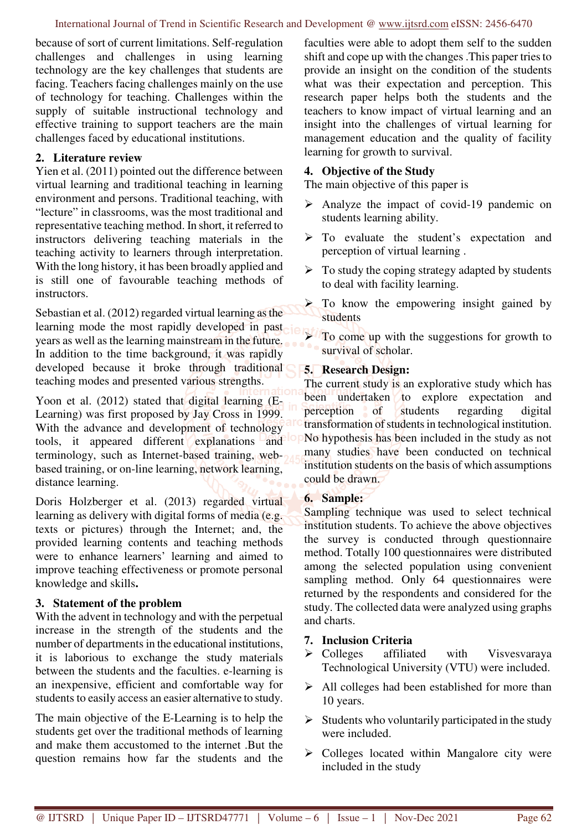because of sort of current limitations. Self-regulation challenges and challenges in using learning technology are the key challenges that students are facing. Teachers facing challenges mainly on the use of technology for teaching. Challenges within the supply of suitable instructional technology and effective training to support teachers are the main challenges faced by educational institutions.

#### **2. Literature review**

Yien et al. (2011) pointed out the difference between virtual learning and traditional teaching in learning environment and persons. Traditional teaching, with "lecture" in classrooms, was the most traditional and representative teaching method. In short, it referred to instructors delivering teaching materials in the teaching activity to learners through interpretation. With the long history, it has been broadly applied and is still one of favourable teaching methods of instructors.

Sebastian et al. (2012) regarded virtual learning as the learning mode the most rapidly developed in past years as well as the learning mainstream in the future. In addition to the time background, it was rapidly developed because it broke through traditional teaching modes and presented various strengths.

Yoon et al. (2012) stated that digital learning (E-Learning) was first proposed by Jay Cross in 1999. With the advance and development of technology tools, it appeared different explanations and terminology, such as Internet-based training, webbased training, or on-line learning, network learning, distance learning.

Doris Holzberger et al. (2013) regarded virtual learning as delivery with digital forms of media (e.g. texts or pictures) through the Internet; and, the provided learning contents and teaching methods were to enhance learners' learning and aimed to improve teaching effectiveness or promote personal knowledge and skills**.** 

#### **3. Statement of the problem**

With the advent in technology and with the perpetual increase in the strength of the students and the number of departments in the educational institutions, it is laborious to exchange the study materials between the students and the faculties. e-learning is an inexpensive, efficient and comfortable way for students to easily access an easier alternative to study.

The main objective of the E-Learning is to help the students get over the traditional methods of learning and make them accustomed to the internet .But the question remains how far the students and the

faculties were able to adopt them self to the sudden shift and cope up with the changes .This paper tries to provide an insight on the condition of the students what was their expectation and perception. This research paper helps both the students and the teachers to know impact of virtual learning and an insight into the challenges of virtual learning for management education and the quality of facility learning for growth to survival.

# **4. Objective of the Study**

The main objective of this paper is

- Analyze the impact of covid-19 pandemic on students learning ability.
- > To evaluate the student's expectation and perception of virtual learning .
- $\triangleright$  To study the coping strategy adapted by students to deal with facility learning.
- $\triangleright$  To know the empowering insight gained by students

 $\blacktriangleright$  To come up with the suggestions for growth to survival of scholar.

## **5. Research Design:**

The current study is an explorative study which has been undertaken to explore expectation and perception of students regarding digital transformation of students in technological institution. No hypothesis has been included in the study as not many studies have been conducted on technical institution students on the basis of which assumptions could be drawn.

## **6. Sample:**

Sampling technique was used to select technical institution students. To achieve the above objectives the survey is conducted through questionnaire method. Totally 100 questionnaires were distributed among the selected population using convenient sampling method. Only 64 questionnaires were returned by the respondents and considered for the study. The collected data were analyzed using graphs and charts.

## **7. Inclusion Criteria**

- $\triangleright$  Colleges affiliated with Visvesvaraya Technological University (VTU) were included.
- $\triangleright$  All colleges had been established for more than 10 years.
- $\triangleright$  Students who voluntarily participated in the study were included.
- $\triangleright$  Colleges located within Mangalore city were included in the study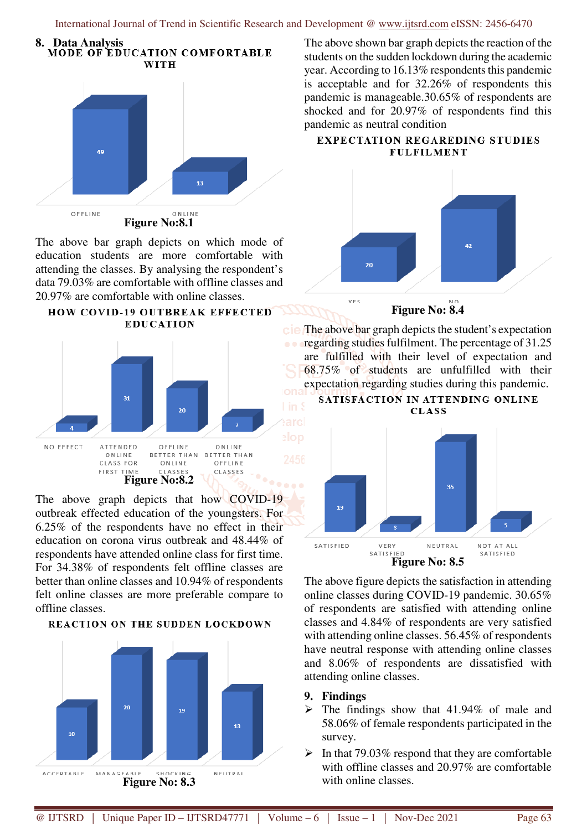International Journal of Trend in Scientific Research and Development @ www.ijtsrd.com eISSN: 2456-6470



The above bar graph depicts on which mode of education students are more comfortable with attending the classes. By analysing the respondent's data 79.03% are comfortable with offline classes and 20.97% are comfortable with online classes.





The above graph depicts that how COVID-19 outbreak effected education of the youngsters. For 6.25% of the respondents have no effect in their education on corona virus outbreak and 48.44% of respondents have attended online class for first time. For 34.38% of respondents felt offline classes are better than online classes and 10.94% of respondents felt online classes are more preferable compare to offline classes.



**REACTION ON THE SUDDEN LOCKDOWN** 

The above shown bar graph depicts the reaction of the students on the sudden lockdown during the academic year. According to 16.13% respondents this pandemic is acceptable and for 32.26% of respondents this pandemic is manageable.30.65% of respondents are shocked and for 20.97% of respondents find this pandemic as neutral condition

#### **EXPECTATION REGAREDING STUDIES FULFILMENT**



**Figure No: 8.4** 

The above bar graph depicts the student's expectation regarding studies fulfilment. The percentage of 31.25 are fulfilled with their level of expectation and 68.75% of students are unfulfilled with their expectation regarding studies during this pandemic.





The above figure depicts the satisfaction in attending online classes during COVID-19 pandemic. 30.65% of respondents are satisfied with attending online classes and 4.84% of respondents are very satisfied with attending online classes. 56.45% of respondents have neutral response with attending online classes and 8.06% of respondents are dissatisfied with attending online classes.

#### **9. Findings**

- $\triangleright$  The findings show that 41.94% of male and 58.06% of female respondents participated in the survey.
- $\triangleright$  In that 79.03% respond that they are comfortable with offline classes and 20.97% are comfortable with online classes.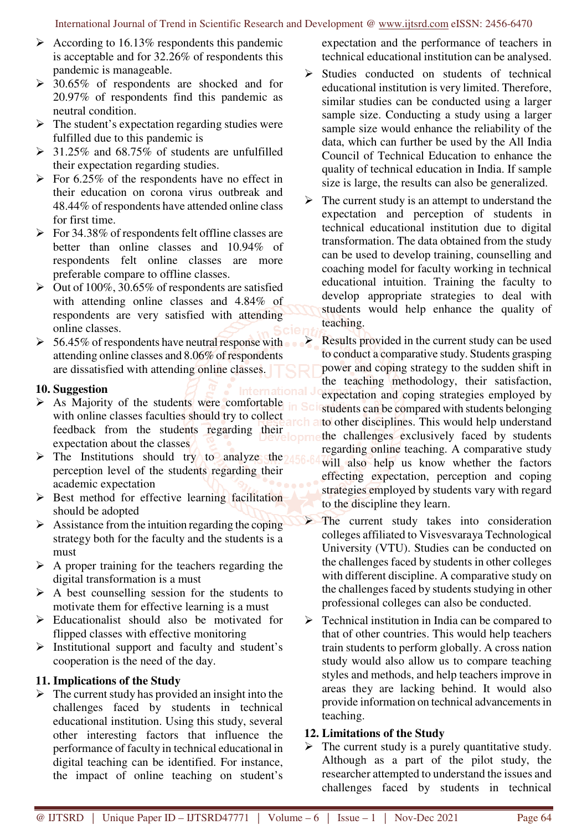- $\triangleright$  According to 16.13% respondents this pandemic is acceptable and for 32.26% of respondents this pandemic is manageable.
- $\geq 30.65\%$  of respondents are shocked and for 20.97% of respondents find this pandemic as neutral condition.
- $\triangleright$  The student's expectation regarding studies were fulfilled due to this pandemic is
- $\geq$  31.25% and 68.75% of students are unfulfilled their expectation regarding studies.
- $\triangleright$  For 6.25% of the respondents have no effect in their education on corona virus outbreak and 48.44% of respondents have attended online class for first time.
- $\triangleright$  For 34.38% of respondents felt offline classes are better than online classes and 10.94% of respondents felt online classes are more preferable compare to offline classes.
- $\triangleright$  Out of 100%, 30.65% of respondents are satisfied with attending online classes and 4.84% of respondents are very satisfied with attending online classes.
- $\triangleright$  56.45% of respondents have neutral response with attending online classes and 8.06% of respondents are dissatisfied with attending online classes.

## **10. Suggestion**

- $\triangleright$  As Majority of the students were comfortable with online classes faculties should try to collect feedback from the students regarding their expectation about the classes
- $\triangleright$  The Institutions should try to analyze the  $\frac{156}{60}$ perception level of the students regarding their academic expectation
- $\triangleright$  Best method for effective learning facilitation should be adopted
- $\triangleright$  Assistance from the intuition regarding the coping strategy both for the faculty and the students is a must
- $\triangleright$  A proper training for the teachers regarding the digital transformation is a must
- $\triangleright$  A best counselling session for the students to motivate them for effective learning is a must
- $\triangleright$  Educationalist should also be motivated for flipped classes with effective monitoring
- $\triangleright$  Institutional support and faculty and student's cooperation is the need of the day.

#### **11. Implications of the Study**

 $\triangleright$  The current study has provided an insight into the challenges faced by students in technical educational institution. Using this study, several other interesting factors that influence the performance of faculty in technical educational in digital teaching can be identified. For instance, the impact of online teaching on student's

expectation and the performance of teachers in technical educational institution can be analysed.

- $\triangleright$  Studies conducted on students of technical educational institution is very limited. Therefore, similar studies can be conducted using a larger sample size. Conducting a study using a larger sample size would enhance the reliability of the data, which can further be used by the All India Council of Technical Education to enhance the quality of technical education in India. If sample size is large, the results can also be generalized.
- $\triangleright$  The current study is an attempt to understand the expectation and perception of students in technical educational institution due to digital transformation. The data obtained from the study can be used to develop training, counselling and coaching model for faculty working in technical educational intuition. Training the faculty to develop appropriate strategies to deal with students would help enhance the quality of teaching.

 Results provided in the current study can be used to conduct a comparative study. Students grasping power and coping strategy to the sudden shift in the teaching methodology, their satisfaction, expectation and coping strategies employed by students can be compared with students belonging to other disciplines. This would help understand the challenges exclusively faced by students regarding online teaching. A comparative study will also help us know whether the factors effecting expectation, perception and coping strategies employed by students vary with regard to the discipline they learn.

 The current study takes into consideration colleges affiliated to Visvesvaraya Technological University (VTU). Studies can be conducted on the challenges faced by students in other colleges with different discipline. A comparative study on the challenges faced by students studying in other professional colleges can also be conducted.

 $\triangleright$  Technical institution in India can be compared to that of other countries. This would help teachers train students to perform globally. A cross nation study would also allow us to compare teaching styles and methods, and help teachers improve in areas they are lacking behind. It would also provide information on technical advancements in teaching.

## **12. Limitations of the Study**

 $\triangleright$  The current study is a purely quantitative study. Although as a part of the pilot study, the researcher attempted to understand the issues and challenges faced by students in technical